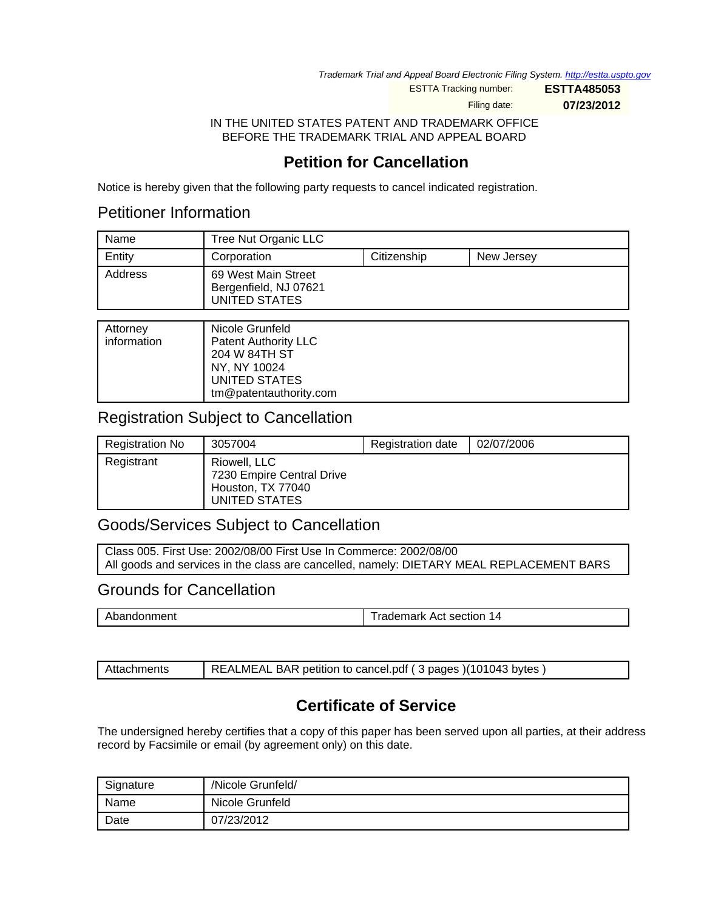Trademark Trial and Appeal Board Electronic Filing System. <http://estta.uspto.gov>

ESTTA Tracking number: **ESTTA485053**

Filing date: **07/23/2012**

IN THE UNITED STATES PATENT AND TRADEMARK OFFICE BEFORE THE TRADEMARK TRIAL AND APPEAL BOARD

# **Petition for Cancellation**

Notice is hereby given that the following party requests to cancel indicated registration.

## Petitioner Information

| Name    | Tree Nut Organic LLC                                          |             |            |
|---------|---------------------------------------------------------------|-------------|------------|
| Entity  | Corporation                                                   | Citizenship | New Jersey |
| Address | 69 West Main Street<br>Bergenfield, NJ 07621<br>UNITED STATES |             |            |

| Attorney<br>information | Nicole Grunfeld<br><b>Patent Authority LLC</b><br>204 W 84TH ST<br>NY, NY 10024 |
|-------------------------|---------------------------------------------------------------------------------|
|                         | UNITED STATES                                                                   |
|                         | tm@patentauthority.com                                                          |

## Registration Subject to Cancellation

| Registration No | 3057004                                                                         | <b>Registration date</b> | 02/07/2006 |
|-----------------|---------------------------------------------------------------------------------|--------------------------|------------|
| Registrant      | Riowell, LLC<br>7230 Empire Central Drive<br>Houston, TX 77040<br>UNITED STATES |                          |            |

## Goods/Services Subject to Cancellation

Class 005. First Use: 2002/08/00 First Use In Commerce: 2002/08/00 All goods and services in the class are cancelled, namely: DIETARY MEAL REPLACEMENT BARS

### Grounds for Cancellation

Abandonment Trademark Act section 14

Attachments | REALMEAL BAR petition to cancel.pdf ( 3 pages )(101043 bytes )

# **Certificate of Service**

The undersigned hereby certifies that a copy of this paper has been served upon all parties, at their address record by Facsimile or email (by agreement only) on this date.

| Signature | /Nicole Grunfeld/ |
|-----------|-------------------|
| Name      | Nicole Grunfeld   |
| Date      | 07/23/2012        |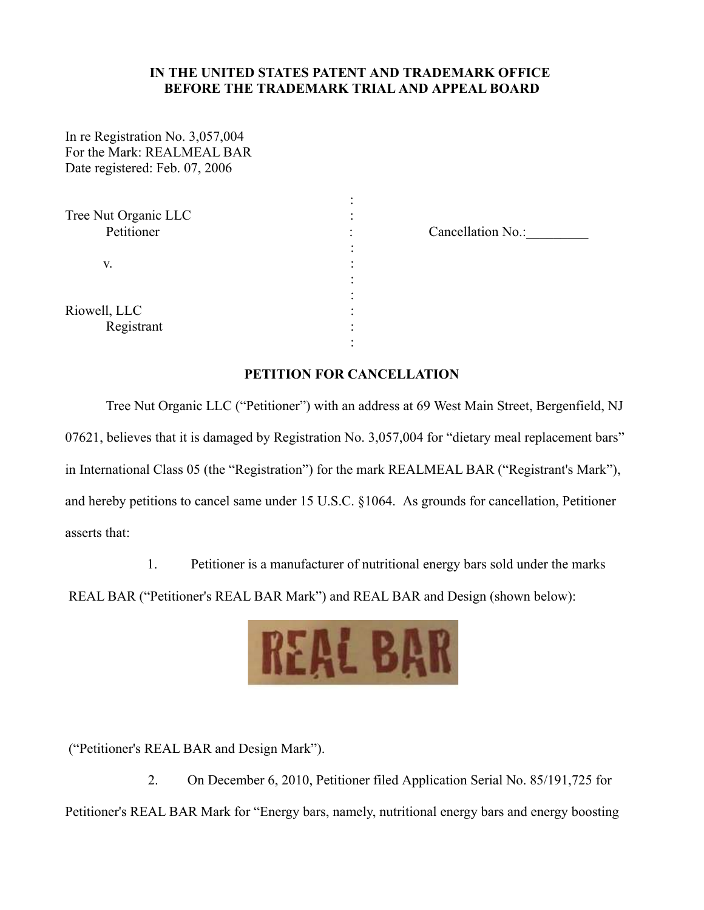#### **IN THE UNITED STATES PATENT AND TRADEMARK OFFICE BEFORE THE TRADEMARK TRIAL AND APPEAL BOARD**

In re Registration No. 3,057,004 For the Mark: REALMEAL BAR Date registered: Feb. 07, 2006

| Tree Nut Organic LLC<br>Petitioner |  |
|------------------------------------|--|
| V.                                 |  |
| Riowell, LLC<br>Registrant         |  |

Cancellation No.:

#### **PETITION FOR CANCELLATION**

Tree Nut Organic LLC ("Petitioner") with an address at 69 West Main Street, Bergenfield, NJ 07621, believes that it is damaged by Registration No. 3,057,004 for "dietary meal replacement bars" in International Class 05 (the "Registration") for the mark REALMEAL BAR ("Registrant's Mark"), and hereby petitions to cancel same under 15 U.S.C. §1064. As grounds for cancellation, Petitioner asserts that:

1. Petitioner is a manufacturer of nutritional energy bars sold under the marks

REAL BAR ("Petitioner's REAL BAR Mark") and REAL BAR and Design (shown below):



("Petitioner's REAL BAR and Design Mark").

2. On December 6, 2010, Petitioner filed Application Serial No. 85/191,725 for Petitioner's REAL BAR Mark for "Energy bars, namely, nutritional energy bars and energy boosting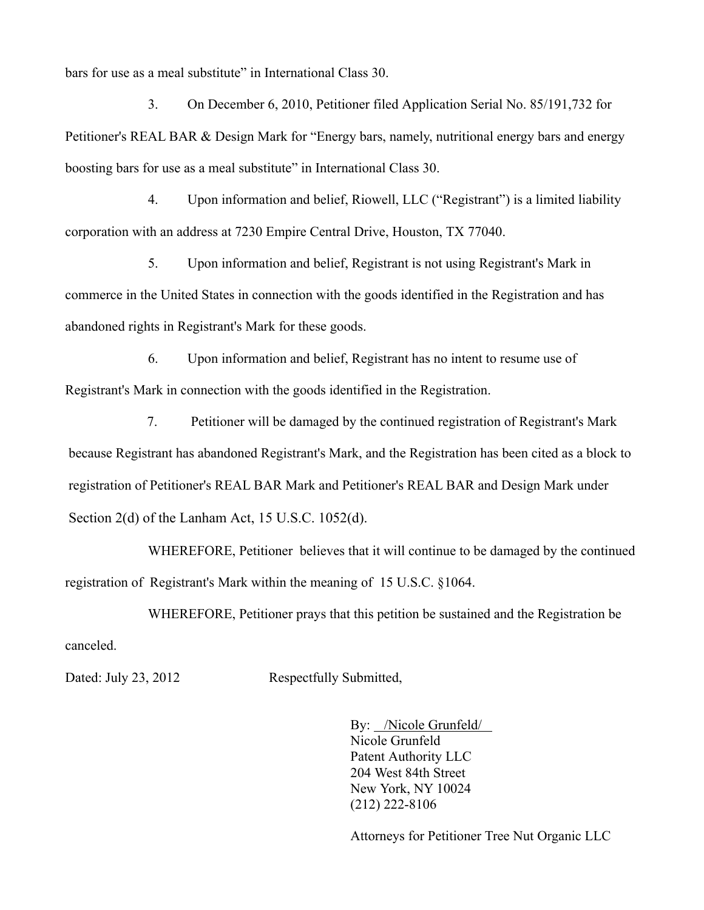bars for use as a meal substitute" in International Class 30.

3. On December 6, 2010, Petitioner filed Application Serial No. 85/191,732 for Petitioner's REAL BAR & Design Mark for "Energy bars, namely, nutritional energy bars and energy boosting bars for use as a meal substitute" in International Class 30.

4. Upon information and belief, Riowell, LLC ("Registrant") is a limited liability corporation with an address at 7230 Empire Central Drive, Houston, TX 77040.

5. Upon information and belief, Registrant is not using Registrant's Mark in commerce in the United States in connection with the goods identified in the Registration and has abandoned rights in Registrant's Mark for these goods.

6. Upon information and belief, Registrant has no intent to resume use of Registrant's Mark in connection with the goods identified in the Registration.

7. Petitioner will be damaged by the continued registration of Registrant's Mark because Registrant has abandoned Registrant's Mark, and the Registration has been cited as a block to registration of Petitioner's REAL BAR Mark and Petitioner's REAL BAR and Design Mark under Section 2(d) of the Lanham Act, 15 U.S.C. 1052(d).

WHEREFORE, Petitioner believes that it will continue to be damaged by the continued registration of Registrant's Mark within the meaning of 15 U.S.C. §1064.

WHEREFORE, Petitioner prays that this petition be sustained and the Registration be canceled.

Dated: July 23, 2012 Respectfully Submitted,

By: /Nicole Grunfeld/ Nicole Grunfeld Patent Authority LLC 204 West 84th Street New York, NY 10024 (212) 222-8106

Attorneys for Petitioner Tree Nut Organic LLC